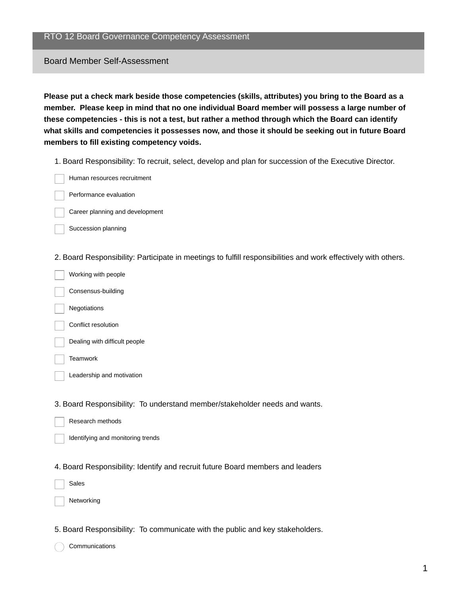## Board Member Self-Assessment

**Please put a check mark beside those competencies (skills, attributes) you bring to the Board as a member. Please keep in mind that no one individual Board member will possess a large number of these competencies - this is not a test, but rather a method through which the Board can identify what skills and competencies it possesses now, and those it should be seeking out in future Board members to fill existing competency voids.**

1. Board Responsibility: To recruit, select, develop and plan for succession of the Executive Director.

Human resources recruitment

Performance evaluation

Career planning and development

Succession planning

2. Board Responsibility: Participate in meetings to fulfill responsibilities and work effectively with others.

Working with people Consensus-building Negotiations Conflict resolution Dealing with difficult people

**Teamwork** 

Leadership and motivation

3. Board Responsibility: To understand member/stakeholder needs and wants.

- Research methods
	- Identifying and monitoring trends
- 4. Board Responsibility: Identify and recruit future Board members and leaders
	- Sales

Networking

## 5. Board Responsibility: To communicate with the public and key stakeholders.

Communications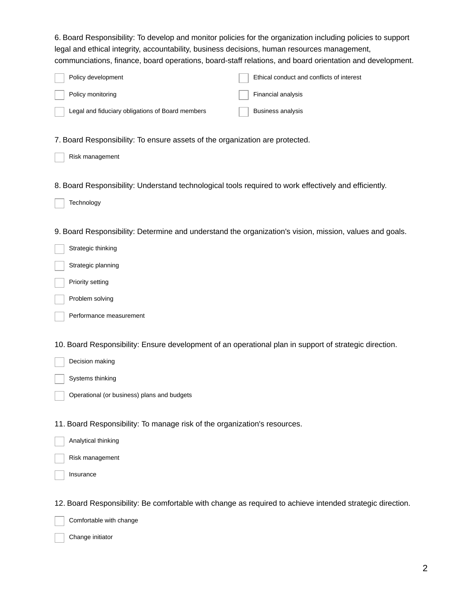6. Board Responsibility: To develop and monitor policies for the organization including policies to support legal and ethical integrity, accountability, business decisions, human resources management, communciations, finance, board operations, board-staff relations, and board orientation and development.

| Policy development                               | Ethical conduct and conflicts of interest |
|--------------------------------------------------|-------------------------------------------|
| Policy monitoring                                | Financial analysis                        |
| Legal and fiduciary obligations of Board members | Business analysis                         |

7. Board Responsibility: To ensure assets of the organization are protected.

|  | Risk management |
|--|-----------------|
|--|-----------------|

8. Board Responsibility: Understand technological tools required to work effectively and efficiently.

Technology

9. Board Responsibility: Determine and understand the organization's vision, mission, values and goals.

Strategic thinking

Strategic planning

Priority setting

Problem solving

Performance measurement

10. Board Responsibility: Ensure development of an operational plan in support of strategic direction.

Decision making

Systems thinking

Operational (or business) plans and budgets

11. Board Responsibility: To manage risk of the organization's resources.

Risk management

Insurance

12. Board Responsibility: Be comfortable with change as required to achieve intended strategic direction.

Comfortable with change

Change initiator